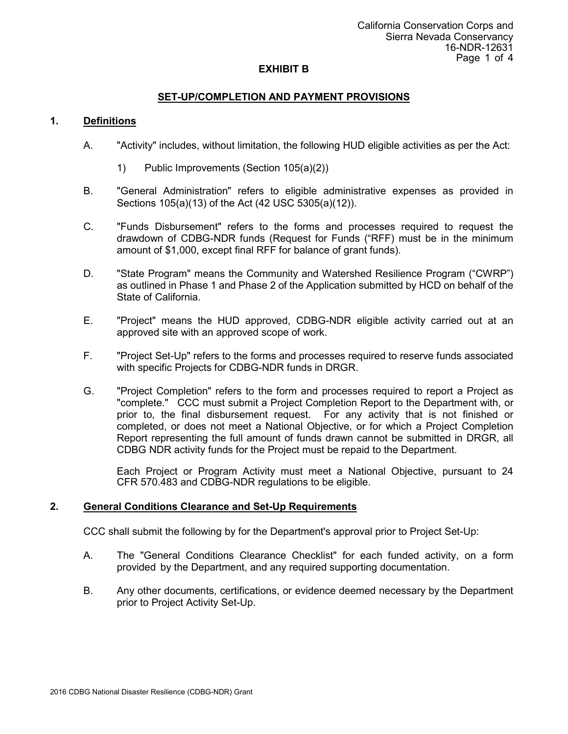# **SET-UP/COMPLETION AND PAYMENT PROVISIONS**

### **1. Definitions**

- A. "Activity" includes, without limitation, the following HUD eligible activities as per the Act:
	- 1) Public Improvements (Section 105(a)(2))
- B. "General Administration" refers to eligible administrative expenses as provided in Sections 105(a)(13) of the Act (42 USC 5305(a)(12)).
- C. "Funds Disbursement" refers to the forms and processes required to request the drawdown of CDBG-NDR funds (Request for Funds ("RFF) must be in the minimum amount of \$1,000, except final RFF for balance of grant funds).
- D. "State Program" means the Community and Watershed Resilience Program ("CWRP") as outlined in Phase 1 and Phase 2 of the Application submitted by HCD on behalf of the State of California.
- E. "Project" means the HUD approved, CDBG-NDR eligible activity carried out at an approved site with an approved scope of work.
- F. "Project Set-Up" refers to the forms and processes required to reserve funds associated with specific Projects for CDBG-NDR funds in DRGR.
- G. "Project Completion" refers to the form and processes required to report a Project as "complete." CCC must submit a Project Completion Report to the Department with, or prior to, the final disbursement request. For any activity that is not finished or completed, or does not meet a National Objective, or for which a Project Completion Report representing the full amount of funds drawn cannot be submitted in DRGR, all CDBG NDR activity funds for the Project must be repaid to the Department.

Each Project or Program Activity must meet a National Objective, pursuant to 24 CFR 570.483 and CDBG-NDR regulations to be eligible.

# **2. General Conditions Clearance and Set-Up Requirements**

CCC shall submit the following by for the Department's approval prior to Project Set-Up:

- A. The "General Conditions Clearance Checklist" for each funded activity, on a form provided by the Department, and any required supporting documentation.
- B. Any other documents, certifications, or evidence deemed necessary by the Department prior to Project Activity Set-Up.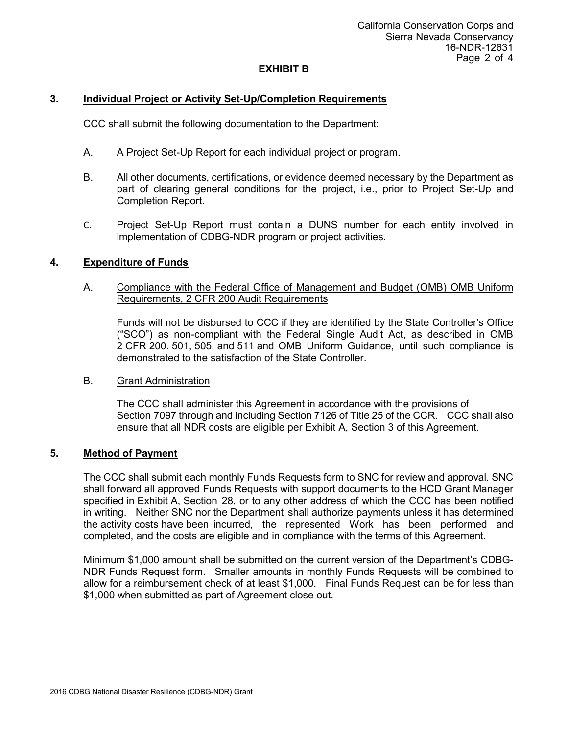# **3. Individual Project or Activity Set-Up/Completion Requirements**

CCC shall submit the following documentation to the Department:

- A. A Project Set-Up Report for each individual project or program.
- B. All other documents, certifications, or evidence deemed necessary by the Department as part of clearing general conditions for the project, i.e., prior to Project Set-Up and Completion Report.
- C. Project Set-Up Report must contain a DUNS number for each entity involved in implementation of CDBG-NDR program or project activities.

#### **4. Expenditure of Funds**

### A. Compliance with the Federal Office of Management and Budget (OMB) OMB Uniform Requirements, 2 CFR 200 Audit Requirements

Funds will not be disbursed to CCC if they are identified by the State Controller's Office ("SCO") as non-compliant with the Federal Single Audit Act, as described in OMB 2 CFR 200. 501, 505, and 511 and OMB Uniform Guidance, until such compliance is demonstrated to the satisfaction of the State Controller.

#### B. Grant Administration

The CCC shall administer this Agreement in accordance with the provisions of Section 7097 through and including Section 7126 of Title 25 of the CCR. CCC shall also ensure that all NDR costs are eligible per Exhibit A, Section 3 of this Agreement.

#### **5. Method of Payment**

The CCC shall submit each monthly Funds Requests form to SNC for review and approval. SNC shall forward all approved Funds Requests with support documents to the HCD Grant Manager specified in Exhibit A, Section 28, or to any other address of which the CCC has been notified in writing. Neither SNC nor the Department shall authorize payments unless it has determined the activity costs have been incurred, the represented Work has been performed and completed, and the costs are eligible and in compliance with the terms of this Agreement.

Minimum \$1,000 amount shall be submitted on the current version of the Department's CDBG-NDR Funds Request form. Smaller amounts in monthly Funds Requests will be combined to allow for a reimbursement check of at least \$1,000. Final Funds Request can be for less than \$1,000 when submitted as part of Agreement close out.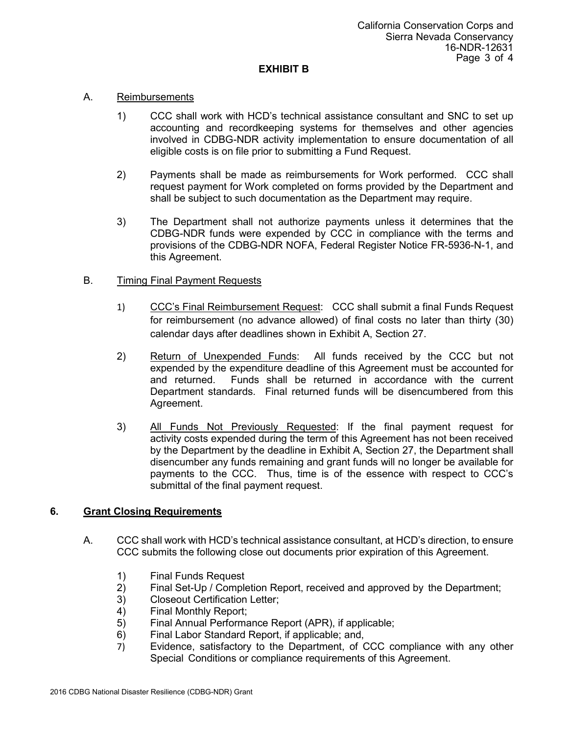### A. Reimbursements

- 1) CCC shall work with HCD's technical assistance consultant and SNC to set up accounting and recordkeeping systems for themselves and other agencies involved in CDBG-NDR activity implementation to ensure documentation of all eligible costs is on file prior to submitting a Fund Request.
- 2) Payments shall be made as reimbursements for Work performed. CCC shall request payment for Work completed on forms provided by the Department and shall be subject to such documentation as the Department may require.
- 3) The Department shall not authorize payments unless it determines that the CDBG-NDR funds were expended by CCC in compliance with the terms and provisions of the CDBG-NDR NOFA, Federal Register Notice FR-5936-N-1, and this Agreement.

# B. Timing Final Payment Requests

- 1) CCC's Final Reimbursement Request: CCC shall submit a final Funds Request for reimbursement (no advance allowed) of final costs no later than thirty (30) calendar days after deadlines shown in Exhibit A, Section 27.
- 2) Return of Unexpended Funds: All funds received by the CCC but not expended by the expenditure deadline of this Agreement must be accounted for and returned. Funds shall be returned in accordance with the current Department standards. Final returned funds will be disencumbered from this Agreement.
- 3) All Funds Not Previously Requested: If the final payment request for activity costs expended during the term of this Agreement has not been received by the Department by the deadline in Exhibit A, Section 27, the Department shall disencumber any funds remaining and grant funds will no longer be available for payments to the CCC. Thus, time is of the essence with respect to CCC's submittal of the final payment request.

# **6. Grant Closing Requirements**

- A. CCC shall work with HCD's technical assistance consultant, at HCD's direction, to ensure CCC submits the following close out documents prior expiration of this Agreement.
	- 1) Final Funds Request
	- 2) Final Set-Up / Completion Report, received and approved by the Department;<br>3) Closeout Certification Letter;
	- 3) Closeout Certification Letter;
	- 4) Final Monthly Report;
	- 5) Final Annual Performance Report (APR), if applicable;
	- 6) Final Labor Standard Report, if applicable; and,
	- 7) Evidence, satisfactory to the Department, of CCC compliance with any other Special Conditions or compliance requirements of this Agreement.